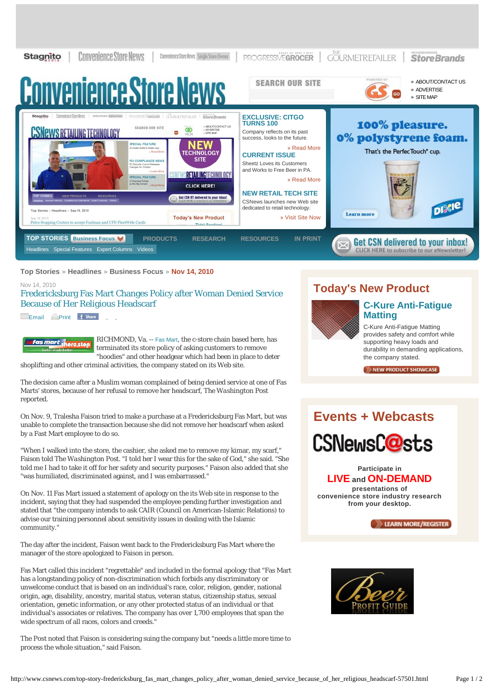

## **[Top Stories](http://www.csnews.com/top-stories.html) » [Headlines](http://www.csnews.com/top-stories-headlines-d1.html) » [Business Focus](http://www.csnews.com/top-stories-headlines-d1-business_focus-c11.html) » Nov 14, 2010**

Nov 14, 2010 Fredericksburg Fas Mart Changes Policy after Woman Denied Service Because of Her Religious Headscarf

[Email](http://www.csnews.com/email-topstory-fredericksburg_fas_mart_changes_policy_after_woman_denied_service_because_of_her_religious_headscarf-57501.html?height=250&width=500) [Print](http://www.csnews.com/print-topstory-fredericksburg_fas_mart_changes_policy_after_woman_denied_service_because_of_her_religious_headscarf-57501.html) f Share

fas mart <sub>s</sub>hore.stop RICHMOND, Va. -- [Fas Mart](http://www.csnews.com/search-fas_mart.html), the c-store chain based here, has terminated its store policy of asking customers to remove "hoodies" and other headgear which had been in place to deter

shoplifting and other criminal activities, the company stated on its Web site.

The decision came after a Muslim woman complained of being denied service at one of Fas Marts' stores, because of her refusal to remove her headscarf, *The Washington Post* reported.

On Nov. 9, Tralesha Faison tried to make a purchase at a Fredericksburg Fas Mart, but was unable to complete the transaction because she did not remove her headscarf when asked by a Fast Mart employee to do so.

"When I walked into the store, the cashier, she asked me to remove my kimar, my scarf," Faison told *The Washington Post*. "I told her I wear this for the sake of God," she said. "She told me I had to take it off for her safety and security purposes." Faison also added that she "was humiliated, discriminated against, and I was embarrassed."

On Nov. 11 Fas Mart issued a statement of apology on the its Web site in response to the incident, saying that they had suspended the employee pending further investigation and stated that "the company intends to ask CAIR (Council on American-Islamic Relations) to advise our training personnel about sensitivity issues in dealing with the Islamic community."

The day after the incident, Faison went back to the Fredericksburg Fas Mart where the manager of the store apologized to Faison in person.

Fas Mart called this incident "regrettable" and included in the formal apology that "Fas Mart has a longstanding policy of non-discrimination which forbids any discriminatory or unwelcome conduct that is based on an individual's race, color, religion, gender, national origin, age, disability, ancestry, marital status, veteran status, citizenship status, sexual orientation, genetic information, or any other protected status of an individual or that individual's associates or relatives. The company has over 1,700 employees that span the wide spectrum of all races, colors and creeds."

*The Post* noted that Faison is considering suing the company but "needs a little more time to process the whole situation," said Faison.

## **Today's New Product**



## **C-Kure Anti-Fatigue Matting**

C-Kure Anti-Fatigue Matting provides safety and comfort while supporting heavy loads and durability in demanding applications, the company stated.

NEW PRODUCT SHOWCASE

## **Events + Webcasts** CSNewsC@sts

**Participate in LIVE and ON-DEMAND presentations of convenience store industry research from your desktop.**

**LEARN MORE/REGISTER**